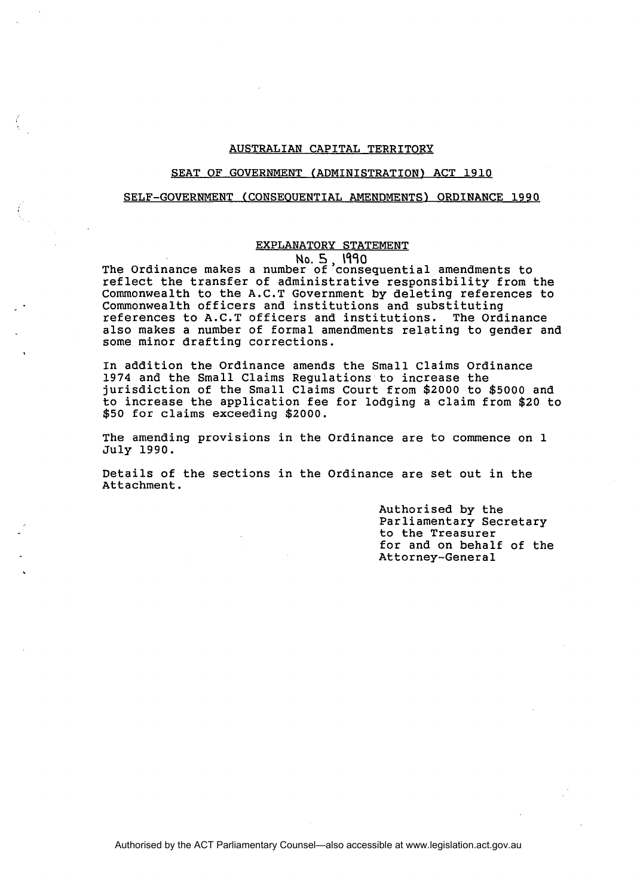# AUSTRALIAN CAPITAL TERRITORY

## SEAT OF GOVERNMENT (ADMINISTRATION) ACT **1910**

# SELF-GOVERNMENT (CONSEOUENTIAL AMENDMENTS) ORDINANCE **1990**

# EXPLANATORY STATEMENT

**No. 5, 1990**  The Ordinance makes a number of consequential amendments to reflect the transfer of administrative responsibility from the Commonwealth to the A.C.T Government by deleting references to Commonwealth officers and institutions and substituting references to A.C.T officers and institutions. The ordinance also makes a number of formal amendments relating to gender and some minor drafting corrections.

In addition the Ordinance amends the Small Claims Ordinance **1974** and the Small Claims Regulations to increase the jurisdiction of the Small Claims Court from **\$2000** to **\$5000** and to increase the application fee for lodging a claim from **\$20** to **\$50** for claims exceeding **\$2000.** 

The amending provisions in the Ordinance are to commence on **1**  July **1990.** 

Details of the sectians in the Ordinance are set out in the Attachment.

> Authorised by the Parliamentary Secretary to the Treasurer for and on behalf of the Attorney-General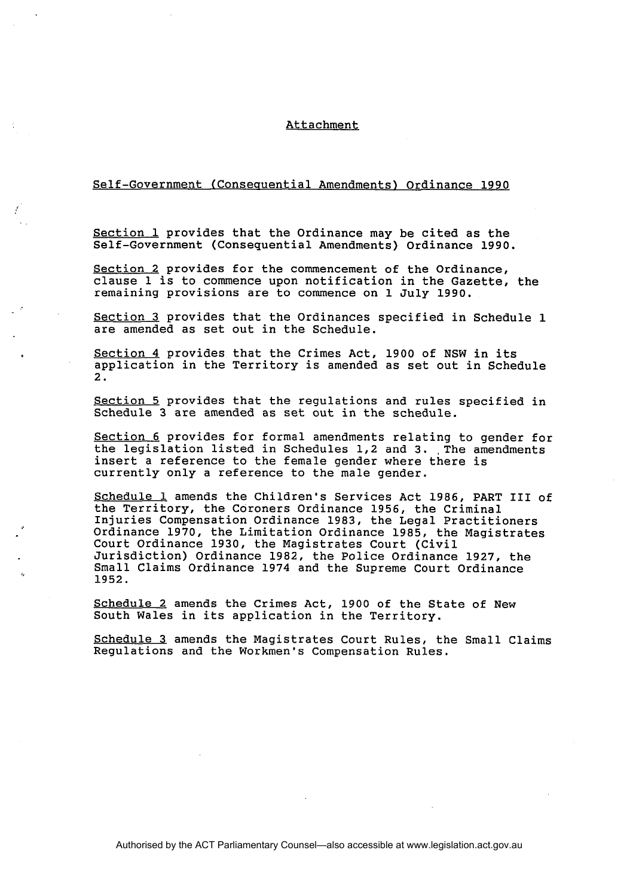### Attachment

# Self-Government (Conseauential Amendments) Ordinance 1990

Section 1 provides that the Ordinance may be cited as the Self-Government (Consequential Amendments) Ordinance 1990.

Section 2 provides for the commencement of the Ordinance, clause 1 is to commence upon notification in the Gazette, the remaining provisions are to commence on 1 July 1990.

Section 3 provides that the Ordinances specified in Schedule 1 are amended as set out in the Schedule.

Section 4 provides that the Crimes Act, 1900 of NSW in its application in the Territory is amended as set out in Schedule 2.

Section 5 provides that the regulations and rules specified in Schedule 3 are amended as set out in the schedule.

Section 6 provides for formal amendments relating to gender for the legislation listed in Schedules 1,2 and 3. The amendments insert a reference to the female gender where there is currently only a reference to the male gender.

Schedule 1 amends the Children's Services Act 1986, PART **I11** of the Territory, the Coroners Ordinance 1956, the Criminal Injuries Compensation Ordinance 1983, the Legal Practitioners Ordinance 1970, the Limitation Ordinance 1985, the Magistrates Court Ordinance 1930, the Magistrates Court (Civil Jurisdiction) Ordinance 1982, the Police Ordinance 1927, the Small Claims Ordinance 1974 and the Supreme Court Ordinance 1952.

Schedule 2 amends the Crimes Act, 1900 of the State of New South Wales in its application in the Territory.

Schedule 3 amends the Magistrates Court Rules, the Small Claims Regulations and the Workmen's Compensation Rules.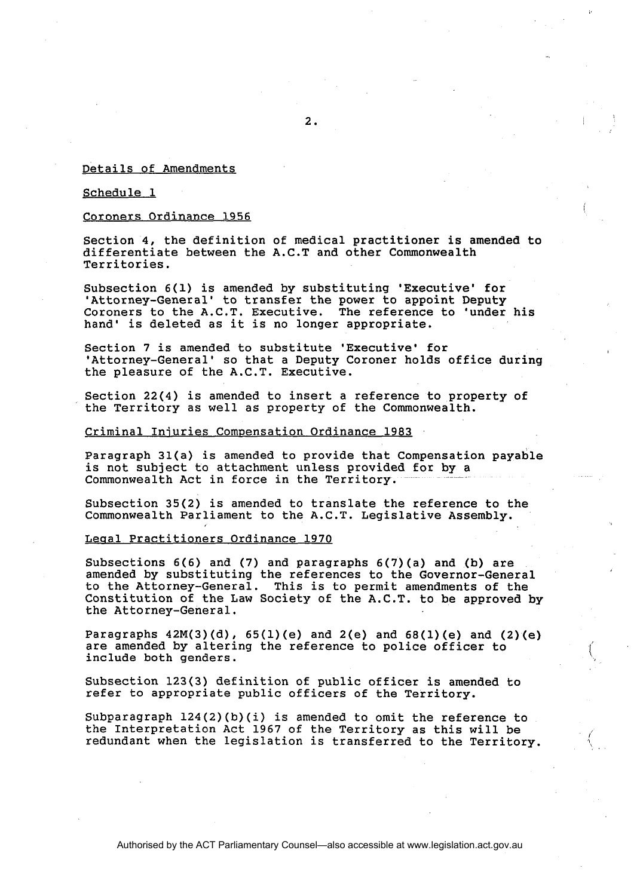## Details of Amendments

### Schedule 1

### Coroners Ordinance 1956

Section 4, the definition of medical practitioner is amended to differentiate between the A.C.T and other Commonwealth Territories.

Subsection 6(1) is amended by substituting 'Executive' for 'Attorney-General' to transfer the power to appoint Deputy Coroners to the A.C.T. Executive. The reference to 'under his hand' is deleted as it is no longer appropriate.

Section 7 is amended to substitute 'Executive' for 'Attorney-General' so that a Deputy Coroner holds office during the pleasure of the A.C.T. Executive.

Section 22(4) is amended to insert a reference to property of the Territory as well as property of the Commonwealth.

#### Criminal Injuries Compensation Ordinance 1983

Paragraph 31(a) is amended to provide that Compensation payable is not subject to attachment unless provided for by a Commonwealth Act in force in the Territory.

Subsection 35(2) is amended to translate the reference to the Commonwealth Parliament to the A.C.T. Legislative Assembly.

#### Leaal Practitioners Ordinance 1970

Subsections 6(6) and (7) and paragraphs 6(7)(a) and (b) are amended by substituting the references to the Governor-General to the Attorney-General. This is to permit amendments of the Constitution of the Law Society of the A.C.T. to be approved by the Attorney-General.

Paragraphs  $42M(3)(d)$ ,  $65(1)(e)$  and  $2(e)$  and  $68(1)(e)$  and  $(2)(e)$ are amended by altering the reference to police officer to  $\hspace{1cm} (\hspace{1cm}$ 

Subsection 123(3) definition of public officer is amended to refer to appropriate public officers of the Territory.

Subparagraph 124(2)(b)(i) is amended to omit the reference to the Interpretation Act 1967 of the Territory as this will be redundant when the legislation is transferred to the Territory.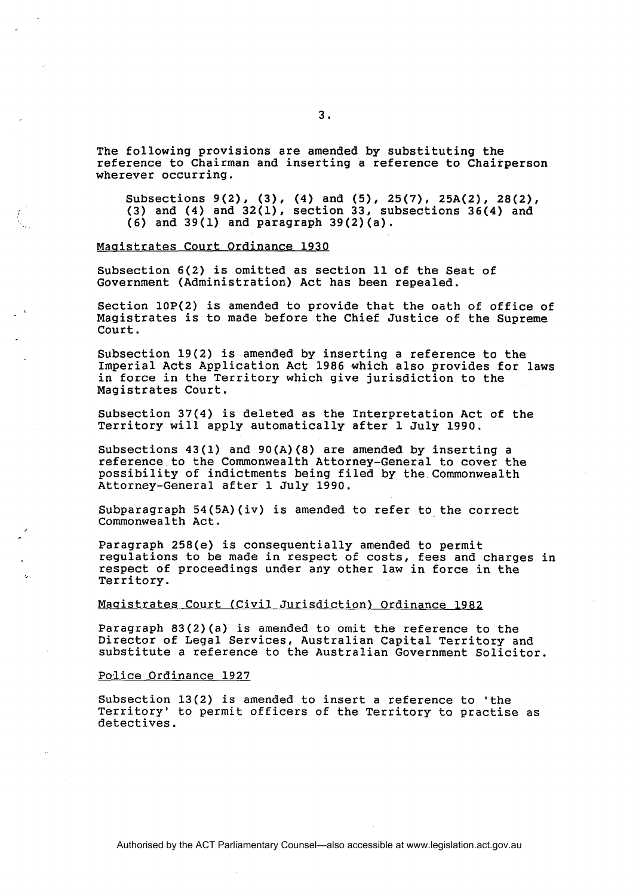The following provisions are amended by substituting the reference to Chairman and inserting a reference to Chairperson wherever occurring.

Subsections 9(2), **(3),** (4) and **(5),** 25(7), 25A(2), 28(2), (3) and **(4)** and 32(1), section 33, subsections 36(4) and (6) and  $39(1)$  and paragraph  $39(2)(a)$ .

## Maqistrates Court Ordinance 1930

Subsection 6(2) is omitted as section 11 of the Seat of Government (Administration) Act has been repealed.

Section lOP(2) is amended to provide that the oath of office of Magistrates is to made before the Chief Justice of the Supreme Court.

Subsection 19(2) is amended by inserting a reference to the Imperial Acts Application Act 1986 which also provides for laws in force in the Territory which give jurisdiction to the Magistrates Court.

Subsection 37(4) is deleted as the Interpretation Act of the Territory will apply automatically after 1 July 1990.

Subsections 43(1) and 90(A)(8) are amended by inserting a reference to the Commonwealth Attorney-General to cover the possibility of indictments being filed by the Commonwealth Attorney-General after 1 July 1990.

Subparagraph  $54(5A)(iv)$  is amended to refer to the correct Commonwealth Act.

Paragraph 258(e) is consequentially amended to permit regulations to be made in respect of costs, fees and charges in respect of proceedings under any other law in force in the Territory.

## Magistrates Court (Civil Jurisdiction) Ordinance 1982

Paragraph 83(2)(a) is amended to omit the reference to the Director of Legal Services, Australian Capital Territory and substitute a reference to the Australian Government Solicitor.

#### Police Ordinance 1927

Subsection 13(2) is amended to insert a reference to 'the Territory' to permit officers of the Territory to practise as detectives.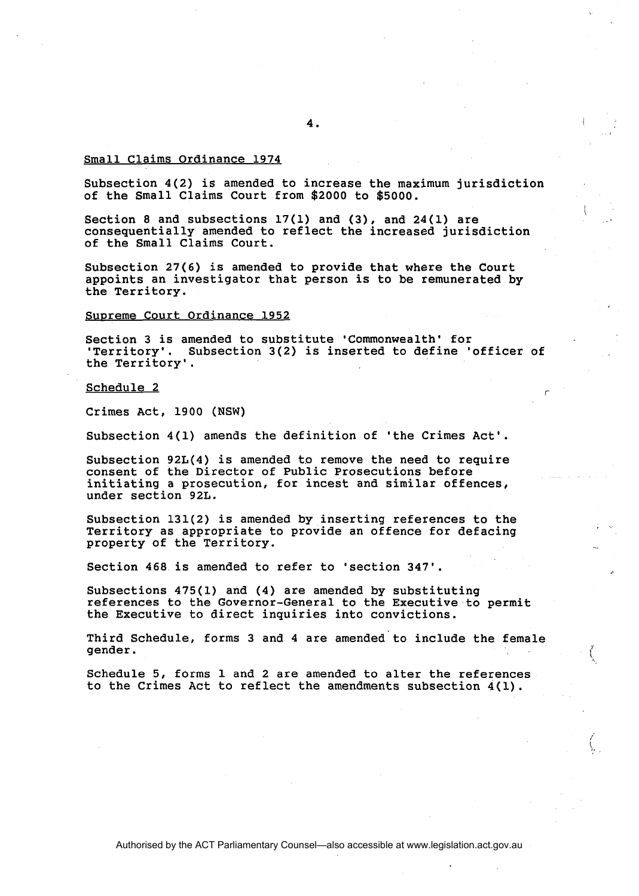### Small Claims Ordinance 1974

Subsection 4(2) is amended to increase the maximum jurisdiction of the Small Claims Court from \$2000 to \$5000.

Section 8 and subsections  $17(1)$  and  $(3)$ , and  $24(1)$  are consequentially amended to reflect the increased jurisdiction of the Small Claims Court.

Subsection 27(6) is amended to provide that where the Court appoints an investigator that person is to be remunerated by the Territory.

Supreme Court Ordinance 1952

Section 3 is amended to substitute 'Commonwealth' for 'Territory'. Subsection 3(2) is inserted to define 'officer of the Territory'.

Schedule 2

Crimes Act, 1900 (NSW)

Subsection 4(1) amends the definition of 'the Crimes Act'.

Subsection  $92L(4)$  is amended to remove the need to require consent of the Director of Public Prosecutions before initiating a prosecution, for incest and similar offences, under section 92L.

Subsection 131(2) is amended by inserting references to the Territory as appropriate to provide an offence for defacing<br>property of the Territory.

Section 468 is amended to refer to 'section 347'.

Subsections 475(1) and (4) are amended by substituting references to the Governor-General to the Executive to permit the Executive to direct inquiries into convictions.

Third Schedule, forms 3 and 4 are amended to include the female gender. gender.  $\langle$ 

Schedule 5, forms 1 and 2 are amended to alter the references to the Crimes Act to reflect the amendments subsection 4(1).

4.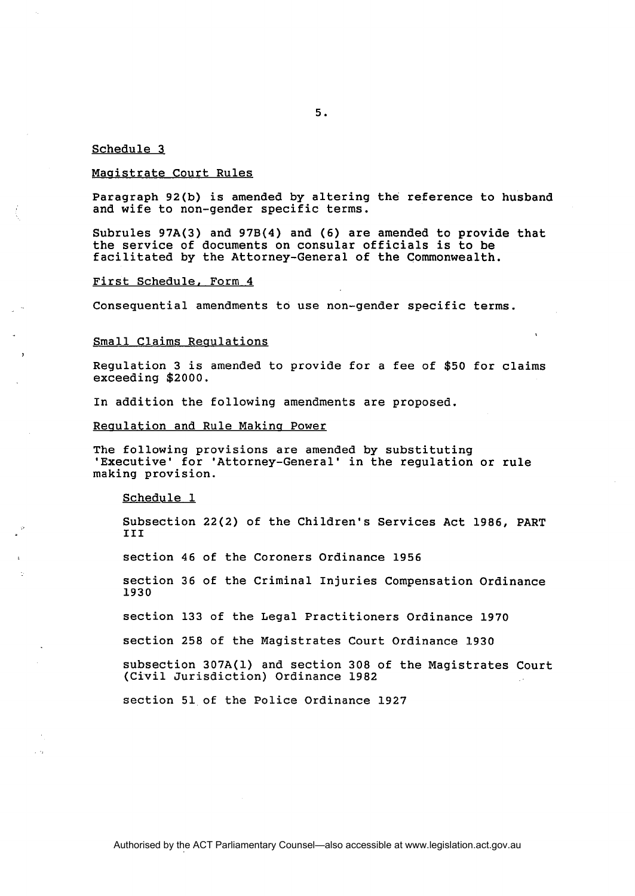#### Schedule 3

#### Maaistrate Court Rules

Paragraph 92(b) is amended by altering the reference to husband and wife to non-gender specific terms.

Subrules 97A(3) and 97B(4) and (6) are amended to provide that the service of documents on consular officials is to be facilitated by the Attorney-General of the Commonwealth.

#### First Schedule. Form 4

Consequential amendments to use non-gender specific terms.

#### Small Claims Requlations

Regulation 3 is amended to provide for a fee of \$50 for claims exceeding \$2000.

In addition the following amendments are proposed.

#### Reaulation and Rule Makina Power

The following provisions are amended by substituting 'Executive' for 'Attorney-General' in the regulation or rule making provision.

#### Schedule 1

Subsection 22(2) of the Children's Services Act 1986, PART TTT<sub>1</sub>

section 46 of the Coroners Ordinance 1956

section 36 of the Criminal Injuries Compensation Ordinance 1930

section 133 of the Legal Practitioners Ordinance 1970

section 258 of the Magistrates Court Ordinance 1930

subsection 307A(1) and section 308 of the Magistrates Court (Civil Jurisdiction) Ordinance 1982

section 51 of the Police Ordinance 1927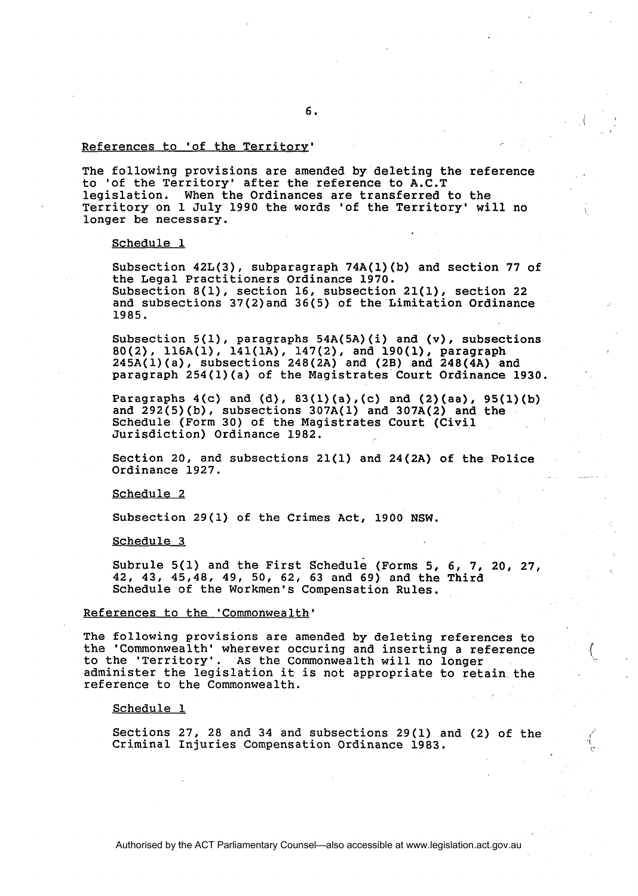## References to 'of the Territory'

The following provisions are amended by deleting the reference to 'of the Territory' after the reference to A.C.T legislation. When the Ordinances are transferred to the Territory on 1 July 1990 the words 'of the Territory' will no \ longer be necessary.

#### Schedule 1

Subsection 42L(3), subparagraph 74A(l)(b) and section 77 of the Legal Practitioners Ordinance 1970. Subsection 8(1), section 16, subsection 21(1), section 22 and subsections 37(2)and 36(5) of the Limitation Ordinance 1985.

Subsection 5(1), paragraphs 54A(5A)(i) and (v), subsections 80(2), 116A(l), 141(1A), 147(2), and 190(1), paragraph 245A(l)(a), subsections 248(2A) and (2B) and 248(4A) and paragraph 254(1)(a) of the Magistrates Court Ordinance 1930.

Paragraphs  $4(c)$  and  $(d)$ ,  $83(1)(a)$ ,  $(c)$  and  $(2)(aa)$ ,  $95(1)(b)$ and  $292(5)(b)$ , subsections  $307A(1)$  and  $307A(2)$  and the Schedule (Form 30) of the Magistrates Court (Civil Jurisdiction) Ordinance 1982.

Section 20, and subsections 21(1) and 24(2A) of the Police Ordinance 1927.

Schedule 2

Subsection 29(1) of the Crimes Act, 1900 NSW.

Schedule 3

Subrule 5(1) and the First schedule (Forms 5, 6, 7, 20, 27, 42, 43, 45,48, 49, 50, 62, 63 and 69) and the Third Schedule of the Workmen's Compensation Rules.

#### References to the 'Commonwealth'

The following provisions are amended by deleting references to the 'Commonwealth' wherever occuring and inserting a reference to the 'Territory'. As the Commonwealth will no longer administer the legislation it is not appropriate to retain the reference to the Commonwealth.

Schedule 1

Sections 27, 28 and 34 and subsections 29(1) and (2) of the Criminal Injuries Compensation Ordinance 1983.

6.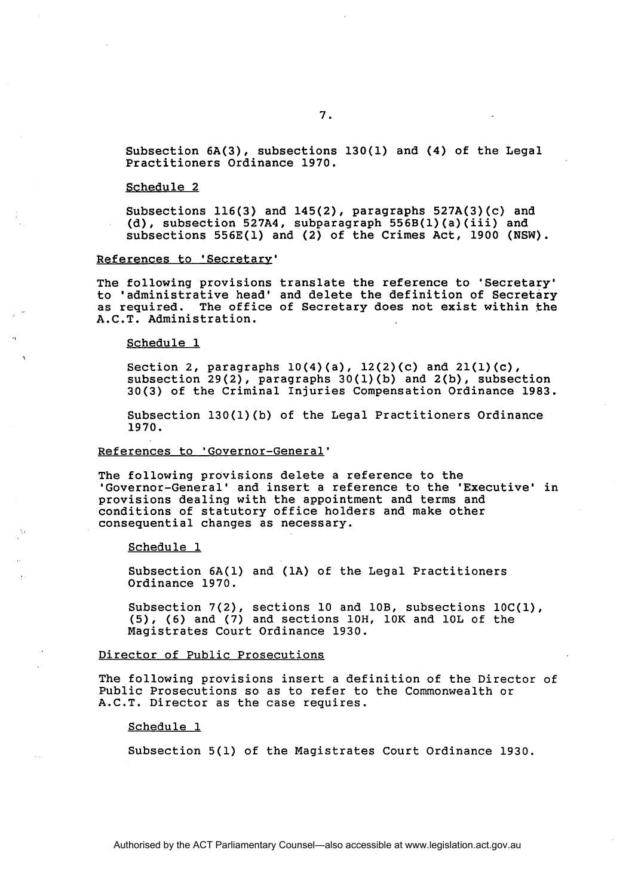#### Schedule 2

Subsections 116(3) and 145(2), paragraphs 527A(3)(c) and (d), subsection 527A4, subparagraph 556B(l)(a)(iii) and subsections 556E(1) and (2) of the Crimes Act, 1900 (NSW).

#### References to 'Secretarv'

The following provisions translate the reference to 'Secretary' to 'administrative head' and delete the definition of Secretary as required. The office of Secretary does not exist within the A.C.T. Administration.

Schedule 1

Section 2, paragraphs 10(4)(a), 12(2)(c) and 21(l)(c), subsection 29(2), paragraphs 30(l)(b) and 2(b), subsection 30(3) of the Criminal Injuries Compensation Ordinance 1983.

Subsection 130(l)(b) of the Legal Practitioners Ordinance 1970.

#### References to 'Governor-General'

The following provisions delete a reference to the 'Governor-General' and insert a reference to the 'Executive' in provisions dealing with the appointment and terms and conditions of statutory office holders and make other consequential changes as necessary.

Schedule 1

Subsection 6A(1) and (1A) of the Legal Practitioners Ordinance 1970.

Subsection 7(2), sections 10 and 10B, subsections 10C(1), (5), (6) and (7) and sections 10H, 10K and 10L of the Magistrates Court Ordinance 1930.

## Director of Public Prosecutions

The following provisions insert a definition of the Director of Public Prosecutions so as to refer to the Commonwealth or A.C.T. Director as the case requires.

Schedule 1

Subsection 5(1) of the Magistrates Court Ordinance 1930.